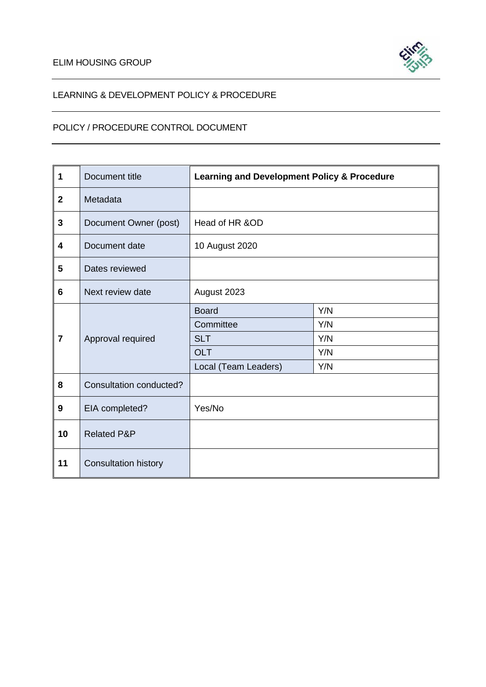

# LEARNING & DEVELOPMENT POLICY & PROCEDURE

# POLICY / PROCEDURE CONTROL DOCUMENT

| $\mathbf 1$             | Document title              | <b>Learning and Development Policy &amp; Procedure</b> |            |  |  |  |
|-------------------------|-----------------------------|--------------------------------------------------------|------------|--|--|--|
| $\overline{2}$          | Metadata                    |                                                        |            |  |  |  |
| $\mathbf{3}$            | Document Owner (post)       | Head of HR &OD                                         |            |  |  |  |
| $\overline{\mathbf{4}}$ | Document date               | 10 August 2020                                         |            |  |  |  |
| $5\phantom{.0}$         | Dates reviewed              |                                                        |            |  |  |  |
| 6                       | Next review date            | August 2023                                            |            |  |  |  |
|                         |                             | <b>Board</b>                                           | Y/N        |  |  |  |
|                         |                             | Committee                                              | Y/N<br>Y/N |  |  |  |
| $\overline{7}$          | Approval required           | <b>SLT</b>                                             |            |  |  |  |
|                         |                             | <b>OLT</b>                                             | Y/N        |  |  |  |
|                         |                             | Local (Team Leaders)                                   | Y/N        |  |  |  |
| 8                       | Consultation conducted?     |                                                        |            |  |  |  |
| 9                       | EIA completed?              | Yes/No                                                 |            |  |  |  |
| 10                      | <b>Related P&amp;P</b>      |                                                        |            |  |  |  |
| 11                      | <b>Consultation history</b> |                                                        |            |  |  |  |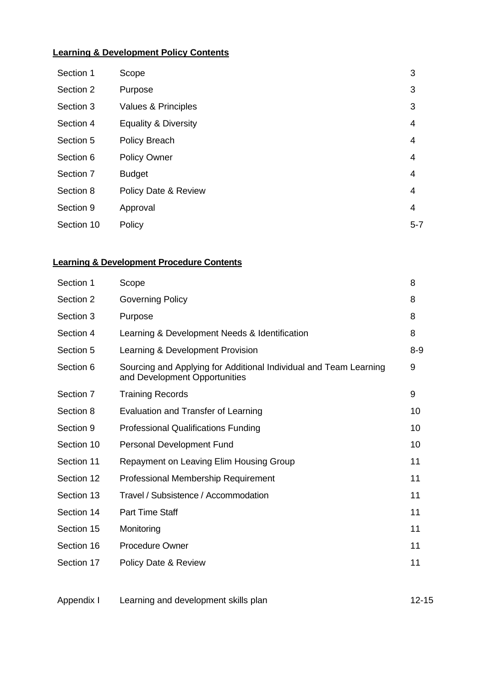# **Learning & Development Policy Contents**

| Section 1  | Scope                           | 3       |
|------------|---------------------------------|---------|
| Section 2  | Purpose                         | 3       |
| Section 3  | Values & Principles             | 3       |
| Section 4  | <b>Equality &amp; Diversity</b> | 4       |
| Section 5  | <b>Policy Breach</b>            | 4       |
| Section 6  | <b>Policy Owner</b>             | 4       |
| Section 7  | <b>Budget</b>                   | 4       |
| Section 8  | Policy Date & Review            | 4       |
| Section 9  | Approval                        | 4       |
| Section 10 | Policy                          | $5 - 7$ |

# **Learning & Development Procedure Contents**

| Section 1  | Scope                                                                                              | 8       |
|------------|----------------------------------------------------------------------------------------------------|---------|
| Section 2  | <b>Governing Policy</b>                                                                            | 8       |
| Section 3  | Purpose                                                                                            | 8       |
| Section 4  | Learning & Development Needs & Identification                                                      | 8       |
| Section 5  | Learning & Development Provision                                                                   | $8 - 9$ |
| Section 6  | Sourcing and Applying for Additional Individual and Team Learning<br>and Development Opportunities | 9       |
| Section 7  | <b>Training Records</b>                                                                            | 9       |
| Section 8  | Evaluation and Transfer of Learning                                                                | 10      |
| Section 9  | <b>Professional Qualifications Funding</b>                                                         | 10      |
| Section 10 | Personal Development Fund                                                                          | 10      |
| Section 11 | Repayment on Leaving Elim Housing Group                                                            | 11      |
| Section 12 | Professional Membership Requirement                                                                | 11      |
| Section 13 | Travel / Subsistence / Accommodation                                                               | 11      |
| Section 14 | <b>Part Time Staff</b>                                                                             | 11      |
| Section 15 | Monitoring                                                                                         | 11      |
| Section 16 | <b>Procedure Owner</b>                                                                             | 11      |
| Section 17 | Policy Date & Review                                                                               | 11      |

| Appendix I | Learning and development skills plan | $12 - 15$ |
|------------|--------------------------------------|-----------|
|            |                                      |           |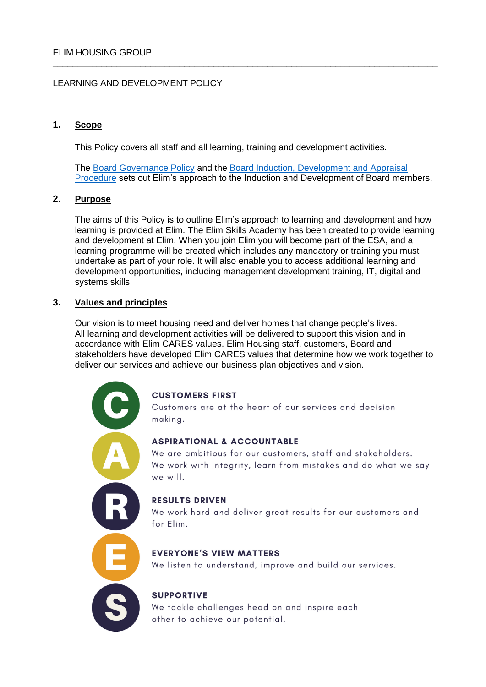# LEARNING AND DEVELOPMENT POLICY

# **1. Scope**

This Policy covers all staff and all learning, training and development activities.

The [Board Governance Policy](file://///EHA-DC1/Public/Information%20for%20Staff/Board/Board%20&%20Governance%20Policy%20November%202019.doc) and the [Board Induction, Development and Appraisal](file://///EHA-DC1/Public/Information%20for%20Staff/Board/Board%20Induction%20&%20Development%20Procedure%20-%20Oct%202019.pdf)  [Procedure](file://///EHA-DC1/Public/Information%20for%20Staff/Board/Board%20Induction%20&%20Development%20Procedure%20-%20Oct%202019.pdf) sets out Elim's approach to the Induction and Development of Board members.

\_\_\_\_\_\_\_\_\_\_\_\_\_\_\_\_\_\_\_\_\_\_\_\_\_\_\_\_\_\_\_\_\_\_\_\_\_\_\_\_\_\_\_\_\_\_\_\_\_\_\_\_\_\_\_\_\_\_\_\_\_\_\_\_\_\_\_\_\_\_\_\_\_\_\_\_\_\_\_

\_\_\_\_\_\_\_\_\_\_\_\_\_\_\_\_\_\_\_\_\_\_\_\_\_\_\_\_\_\_\_\_\_\_\_\_\_\_\_\_\_\_\_\_\_\_\_\_\_\_\_\_\_\_\_\_\_\_\_\_\_\_\_\_\_\_\_\_\_\_\_\_\_\_\_\_\_\_\_

# **2. Purpose**

The aims of this Policy is to outline Elim's approach to learning and development and how learning is provided at Elim. The Elim Skills Academy has been created to provide learning and development at Elim. When you join Elim you will become part of the ESA, and a learning programme will be created which includes any mandatory or training you must undertake as part of your role. It will also enable you to access additional learning and development opportunities, including management development training, IT, digital and systems skills.

# **3. Values and principles**

Our vision is to meet housing need and deliver homes that change people's lives. All learning and development activities will be delivered to support this vision and in accordance with Elim CARES values. Elim Housing staff, customers, Board and stakeholders have developed Elim CARES values that determine how we work together to deliver our services and achieve our business plan objectives and vision.



# **CUSTOMERS FIRST**

Customers are at the heart of our services and decision making.

# **ASPIRATIONAL & ACCOUNTABLE**

We are ambitious for our customers, staff and stakeholders. We work with integrity, learn from mistakes and do what we say we will.

# **RESULTS DRIVEN**

We work hard and deliver great results for our customers and for Elim.

# **EVERYONE'S VIEW MATTERS**

We listen to understand, improve and build our services.

# **SUPPORTIVE**

We tackle challenges head on and inspire each other to achieve our potential.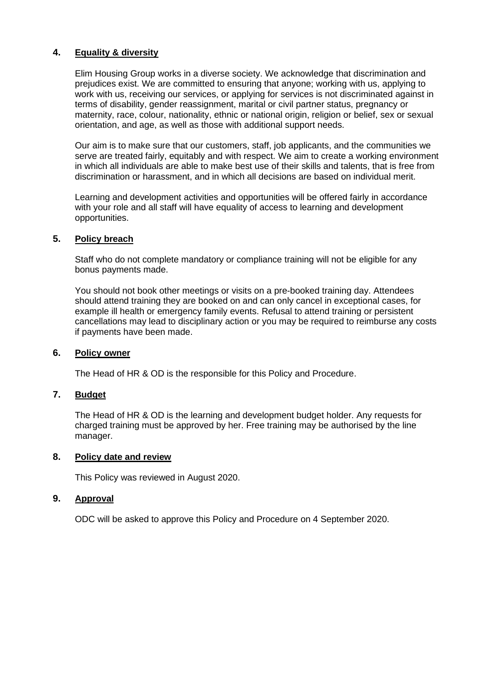# **4. [Equality](file://///EHA-DC1/Public/Policies%20and%20procedures/Equalities%20&%20Diversity/Equality%20and%20Diversity%20Policy%20July%202017.doc) & diversity**

Elim Housing Group works in a diverse society. We acknowledge that discrimination and prejudices exist. We are committed to ensuring that anyone; working with us, applying to work with us, receiving our services, or applying for services is not discriminated against in terms of disability, gender reassignment, marital or civil partner status, pregnancy or maternity, race, colour, nationality, ethnic or national origin, religion or belief, sex or sexual orientation, and age, as well as those with additional support needs.

Our aim is to make sure that our customers, staff, job applicants, and the communities we serve are treated fairly, equitably and with respect. We aim to create a working environment in which all individuals are able to make best use of their skills and talents, that is free from discrimination or harassment, and in which all decisions are based on individual merit.

Learning and development activities and opportunities will be offered fairly in accordance with your role and all staff will have equality of access to learning and development opportunities.

# **5. Policy breach**

Staff who do not complete mandatory or compliance training will not be eligible for any bonus payments made.

You should not book other meetings or visits on a pre-booked training day. Attendees should attend training they are booked on and can only cancel in exceptional cases, for example ill health or emergency family events. Refusal to attend training or persistent cancellations may lead to disciplinary action or you may be required to reimburse any costs if payments have been made.

# **6. Policy owner**

The Head of HR & OD is the responsible for this Policy and Procedure.

# **7. Budget**

The Head of HR & OD is the learning and development budget holder. Any requests for charged training must be approved by her. Free training may be authorised by the line manager.

#### **8. Policy date and review**

This Policy was reviewed in August 2020.

# **9. Approval**

ODC will be asked to approve this Policy and Procedure on 4 September 2020.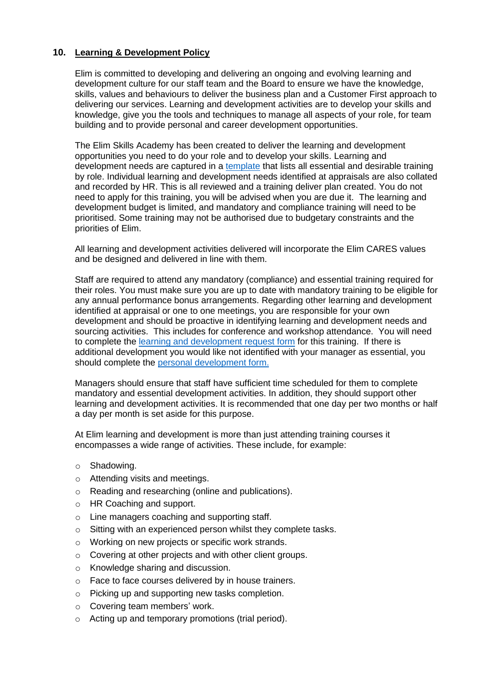# **10. Learning & Development Policy**

Elim is committed to developing and delivering an ongoing and evolving learning and development culture for our staff team and the Board to ensure we have the knowledge, skills, values and behaviours to deliver the business plan and a Customer First approach to delivering our services. Learning and development activities are to develop your skills and knowledge, give you the tools and techniques to manage all aspects of your role, for team building and to provide personal and career development opportunities.

The Elim Skills Academy has been created to deliver the learning and development opportunities you need to do your role and to develop your skills. Learning and development needs are captured in a [template](file://///EHA-DC1/Public/HR/Learning%20&%20Development/Learning%20and%20development%20need%20template%20August%202020.docx) that lists all essential and desirable training by role. Individual learning and development needs identified at appraisals are also collated and recorded by HR. This is all reviewed and a training deliver plan created. You do not need to apply for this training, you will be advised when you are due it. The learning and development budget is limited, and mandatory and compliance training will need to be prioritised. Some training may not be authorised due to budgetary constraints and the priorities of Elim.

All learning and development activities delivered will incorporate the Elim CARES values and be designed and delivered in line with them.

Staff are required to attend any mandatory (compliance) and essential training required for their roles. You must make sure you are up to date with mandatory training to be eligible for any annual performance bonus arrangements. Regarding other learning and development identified at appraisal or one to one meetings, you are responsible for your own development and should be proactive in identifying learning and development needs and sourcing activities. This includes for conference and workshop attendance. You will need to complete the [learning and development request form](file://///EHA-DC1/Public/HR/Learning%20&%20Development/Learning%20and%20Development%20Request%20form.docx) for this training. If there is additional development you would like not identified with your manager as essential, you should complete the [personal development form.](file://///EHA-DC1/Public/HR/Learning%20&%20Development/Personal%20Development%20Fund%20form.docx)

Managers should ensure that staff have sufficient time scheduled for them to complete mandatory and essential development activities. In addition, they should support other learning and development activities. It is recommended that one day per two months or half a day per month is set aside for this purpose.

At Elim learning and development is more than just attending training courses it encompasses a wide range of activities. These include, for example:

- o Shadowing.
- o Attending visits and meetings.
- o Reading and researching (online and publications).
- o HR Coaching and support.
- o Line managers coaching and supporting staff.
- o Sitting with an experienced person whilst they complete tasks.
- o Working on new projects or specific work strands.
- o Covering at other projects and with other client groups.
- o Knowledge sharing and discussion.
- o Face to face courses delivered by in house trainers.
- o Picking up and supporting new tasks completion.
- o Covering team members' work.
- o Acting up and temporary promotions (trial period).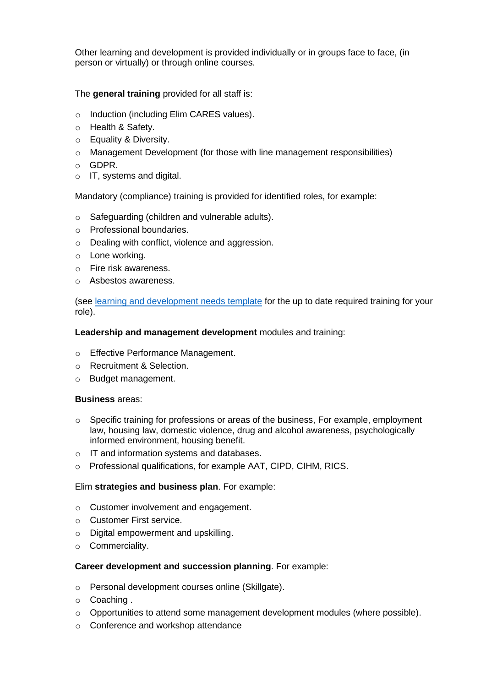Other learning and development is provided individually or in groups face to face, (in person or virtually) or through online courses.

# The **general training** provided for all staff is:

- o Induction (including Elim CARES values).
- o Health & Safety.
- o Equality & Diversity.
- $\circ$  Management Development (for those with line management responsibilities)
- o GDPR.
- o IT, systems and digital.

Mandatory (compliance) training is provided for identified roles, for example:

- o Safeguarding (children and vulnerable adults).
- o Professional boundaries.
- o Dealing with conflict, violence and aggression.
- o Lone working.
- o Fire risk awareness.
- o Asbestos awareness.

(see [learning and development needs template](file://///EHA-DC1/Public/HR/Learning%20&%20Development/Learning%20and%20development%20need%20template%20August%202020.docx) for the up to date required training for your role).

# **Leadership and management development** modules and training:

- o Effective Performance Management.
- o Recruitment & Selection.
- o Budget management.

# **Business** areas:

- o Specific training for professions or areas of the business, For example, employment law, housing law, domestic violence, drug and alcohol awareness, psychologically informed environment, housing benefit.
- o IT and information systems and databases.
- o Professional qualifications, for example AAT, CIPD, CIHM, RICS.

# Elim **strategies and business plan**. For example:

- o Customer involvement and engagement.
- o Customer First service.
- o Digital empowerment and upskilling.
- o Commerciality.

# **Career development and succession planning**. For example:

- o Personal development courses online (Skillgate).
- o Coaching .
- o Opportunities to attend some management development modules (where possible).
- o Conference and workshop attendance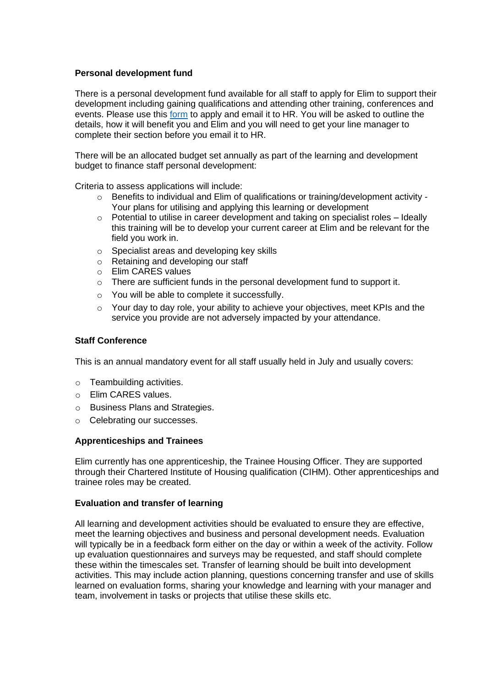# **Personal development fund**

There is a personal development fund available for all staff to apply for Elim to support their development including gaining qualifications and attending other training, conferences and events. Please use this [form](file://///EHA-DC1/Public/HR/Learning%20&%20Development/Personal%20Development%20Fund%20form.docx) to apply and email it to HR. You will be asked to outline the details, how it will benefit you and Elim and you will need to get your line manager to complete their section before you email it to HR.

There will be an allocated budget set annually as part of the learning and development budget to finance staff personal development:

Criteria to assess applications will include:

- $\circ$  Benefits to individual and Elim of qualifications or training/development activity -Your plans for utilising and applying this learning or development
- $\circ$  Potential to utilise in career development and taking on specialist roles Ideally this training will be to develop your current career at Elim and be relevant for the field you work in.
- o Specialist areas and developing key skills
- o Retaining and developing our staff
- o Elim CARES values
- $\circ$  There are sufficient funds in the personal development fund to support it.
- o You will be able to complete it successfully.
- o Your day to day role, your ability to achieve your objectives, meet KPIs and the service you provide are not adversely impacted by your attendance.

#### **Staff Conference**

This is an annual mandatory event for all staff usually held in July and usually covers:

- o Teambuilding activities.
- o Elim CARES values.
- o Business Plans and Strategies.
- o Celebrating our successes.

#### **Apprenticeships and Trainees**

Elim currently has one apprenticeship, the Trainee Housing Officer. They are supported through their Chartered Institute of Housing qualification (CIHM). Other apprenticeships and trainee roles may be created.

#### **Evaluation and transfer of learning**

All learning and development activities should be evaluated to ensure they are effective, meet the learning objectives and business and personal development needs. Evaluation will typically be in a feedback form either on the day or within a week of the activity. Follow up evaluation questionnaires and surveys may be requested, and staff should complete these within the timescales set. Transfer of learning should be built into development activities. This may include action planning, questions concerning transfer and use of skills learned on evaluation forms, sharing your knowledge and learning with your manager and team, involvement in tasks or projects that utilise these skills etc.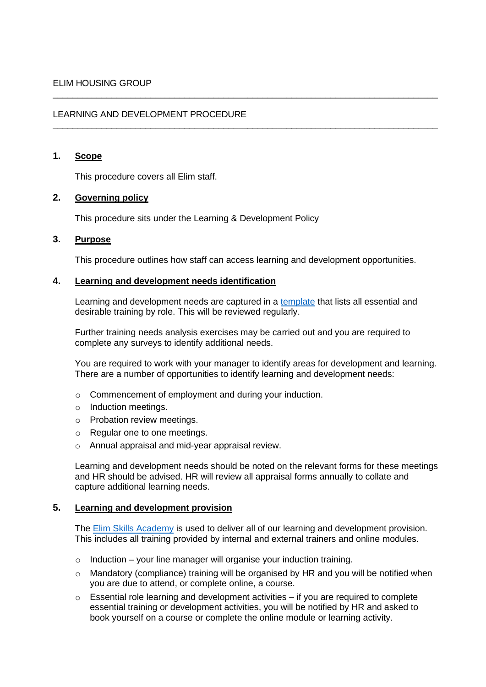# LEARNING AND DEVELOPMENT PROCEDURE

# **1. Scope**

This procedure covers all Elim staff.

# **2. Governing policy**

This procedure sits under the Learning & Development Policy

# **3. Purpose**

This procedure outlines how staff can access learning and development opportunities.

\_\_\_\_\_\_\_\_\_\_\_\_\_\_\_\_\_\_\_\_\_\_\_\_\_\_\_\_\_\_\_\_\_\_\_\_\_\_\_\_\_\_\_\_\_\_\_\_\_\_\_\_\_\_\_\_\_\_\_\_\_\_\_\_\_\_\_\_\_\_\_\_\_\_\_\_\_\_\_

\_\_\_\_\_\_\_\_\_\_\_\_\_\_\_\_\_\_\_\_\_\_\_\_\_\_\_\_\_\_\_\_\_\_\_\_\_\_\_\_\_\_\_\_\_\_\_\_\_\_\_\_\_\_\_\_\_\_\_\_\_\_\_\_\_\_\_\_\_\_\_\_\_\_\_\_\_\_\_

#### **4. Learning and development needs identification**

Learning and development needs are captured in a [template](file://///EHA-DC1/Public/HR/Learning%20&%20Development/Learning%20and%20development%20need%20template%20August%202020.docx) that lists all essential and desirable training by role. This will be reviewed regularly.

Further training needs analysis exercises may be carried out and you are required to complete any surveys to identify additional needs.

You are required to work with your manager to identify areas for development and learning. There are a number of opportunities to identify learning and development needs:

- o Commencement of employment and during your induction.
- o Induction meetings.
- o Probation review meetings.
- o Regular one to one meetings.
- o Annual appraisal and mid-year appraisal review.

Learning and development needs should be noted on the relevant forms for these meetings and HR should be advised. HR will review all appraisal forms annually to collate and capture additional learning needs.

# **5. Learning and development provision**

The [Elim Skills Academy](file://///EHA-DC1/Public/HR/Learning%20&%20Development/Elim%20Skills%20Academy%20Guidelines%20December%202020.docx) is used to deliver all of our learning and development provision. This includes all training provided by internal and external trainers and online modules.

- $\circ$  Induction your line manager will organise your induction training.
- o Mandatory (compliance) training will be organised by HR and you will be notified when you are due to attend, or complete online, a course.
- $\circ$  Essential role learning and development activities if you are required to complete essential training or development activities, you will be notified by HR and asked to book yourself on a course or complete the online module or learning activity.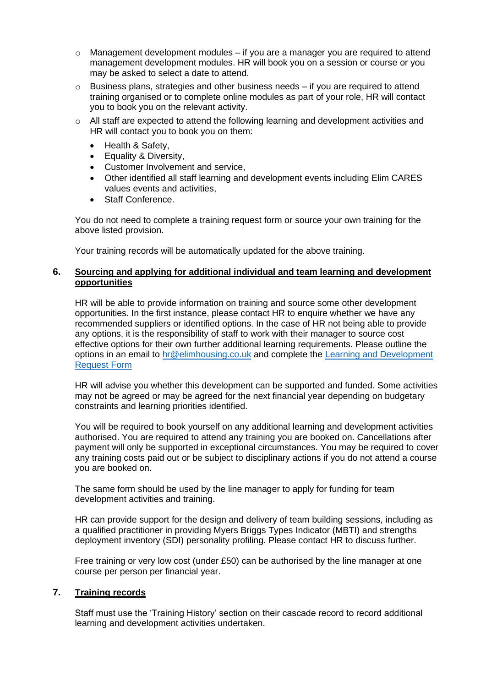- $\circ$  Management development modules if you are a manager you are required to attend management development modules. HR will book you on a session or course or you may be asked to select a date to attend.
- $\circ$  Business plans, strategies and other business needs if you are required to attend training organised or to complete online modules as part of your role, HR will contact you to book you on the relevant activity.
- $\circ$  All staff are expected to attend the following learning and development activities and HR will contact you to book you on them:
	- Health & Safety,
	- Equality & Diversity,
	- Customer Involvement and service.
	- Other identified all staff learning and development events including Elim CARES values events and activities,
	- Staff Conference.

You do not need to complete a training request form or source your own training for the above listed provision.

Your training records will be automatically updated for the above training.

# **6. Sourcing and applying for additional individual and team learning and development opportunities**

HR will be able to provide information on training and source some other development opportunities. In the first instance, please contact HR to enquire whether we have any recommended suppliers or identified options. In the case of HR not being able to provide any options, it is the responsibility of staff to work with their manager to source cost effective options for their own further additional learning requirements. Please outline the options in an email to [hr@elimhousing.co.uk](mailto:hr@elimhousing.co.uk) and complete the [Learning and Development](file://///EHA-DC1/Public/HR/Learning%20&%20Development/Learning%20and%20Development%20Request%20form.docx)  [Request Form](file://///EHA-DC1/Public/HR/Learning%20&%20Development/Learning%20and%20Development%20Request%20form.docx)

HR will advise you whether this development can be supported and funded. Some activities may not be agreed or may be agreed for the next financial year depending on budgetary constraints and learning priorities identified.

You will be required to book yourself on any additional learning and development activities authorised. You are required to attend any training you are booked on. Cancellations after payment will only be supported in exceptional circumstances. You may be required to cover any training costs paid out or be subject to disciplinary actions if you do not attend a course you are booked on.

The same form should be used by the line manager to apply for funding for team development activities and training.

HR can provide support for the design and delivery of team building sessions, including as a qualified practitioner in providing Myers Briggs Types Indicator (MBTI) and strengths deployment inventory (SDI) personality profiling. Please contact HR to discuss further.

Free training or very low cost (under £50) can be authorised by the line manager at one course per person per financial year.

# **7. Training records**

Staff must use the 'Training History' section on their cascade record to record additional learning and development activities undertaken.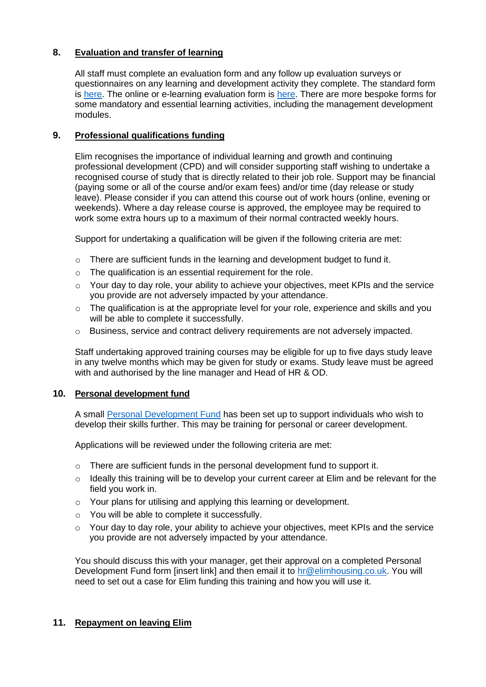# **8. Evaluation and transfer of learning**

All staff must complete an evaluation form and any follow up evaluation surveys or questionnaires on any learning and development activity they complete. The standard form is [here.](file://///EHA-DC1/Public/HR/Forms/Training%20Evaluation%20Form.doc.docx) The online or e-learning evaluation form is [here.](file://///EHA-DC1/Public/HR/Forms/Training%20Evaluation%20Form%20-%20e-learning.docx) There are more bespoke forms for some mandatory and essential learning activities, including the management development modules.

# **9. Professional qualifications funding**

Elim recognises the importance of individual learning and growth and continuing professional development (CPD) and will consider supporting staff wishing to undertake a recognised course of study that is directly related to their job role. Support may be financial (paying some or all of the course and/or exam fees) and/or time (day release or study leave). Please consider if you can attend this course out of work hours (online, evening or weekends). Where a day release course is approved, the employee may be required to work some extra hours up to a maximum of their normal contracted weekly hours.

Support for undertaking a qualification will be given if the following criteria are met:

- $\circ$  There are sufficient funds in the learning and development budget to fund it.
- o The qualification is an essential requirement for the role.
- $\circ$  Your day to day role, your ability to achieve your objectives, meet KPIs and the service you provide are not adversely impacted by your attendance.
- $\circ$  The qualification is at the appropriate level for your role, experience and skills and you will be able to complete it successfully.
- $\circ$  Business, service and contract delivery requirements are not adversely impacted.

Staff undertaking approved training courses may be eligible for up to five days study leave in any twelve months which may be given for study or exams. Study leave must be agreed with and authorised by the line manager and Head of HR & OD.

#### **10. Personal development fund**

A small [Personal Development Fund](file://///EHA-DC1/Public/HR/Learning%20&%20Development/Personal%20Development%20Fund%20form.docx) has been set up to support individuals who wish to develop their skills further. This may be training for personal or career development.

Applications will be reviewed under the following criteria are met:

- $\circ$  There are sufficient funds in the personal development fund to support it.
- $\circ$  Ideally this training will be to develop your current career at Elim and be relevant for the field you work in.
- o Your plans for utilising and applying this learning or development.
- o You will be able to complete it successfully.
- o Your day to day role, your ability to achieve your objectives, meet KPIs and the service you provide are not adversely impacted by your attendance.

You should discuss this with your manager, get their approval on a completed Personal Development Fund form [insert link] and then email it to [hr@elimhousing.co.uk.](mailto:hr@elimhousing.co.uk) You will need to set out a case for Elim funding this training and how you will use it.

# **11. Repayment on leaving Elim**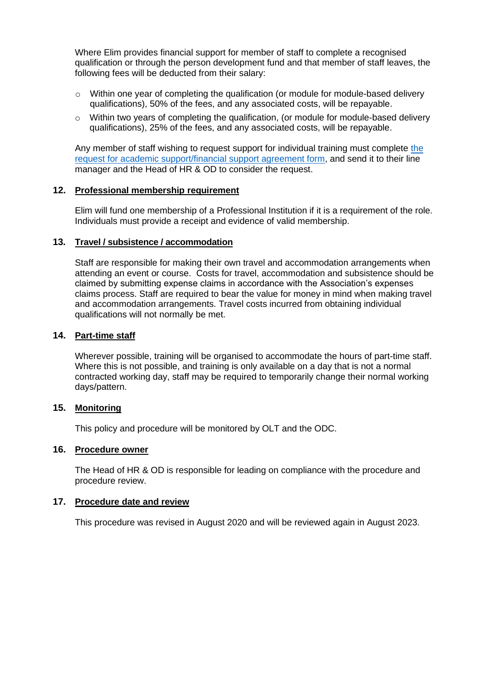Where Elim provides financial support for member of staff to complete a recognised qualification or through the person development fund and that member of staff leaves, the following fees will be deducted from their salary:

- $\circ$  Within one year of completing the qualification (or module for module-based delivery qualifications), 50% of the fees, and any associated costs, will be repayable.
- o Within two years of completing the qualification, (or module for module-based delivery qualifications), 25% of the fees, and any associated costs, will be repayable.

Any member of staff wishing to request support for individual training must complete [the](file://///EHA-DC1/Public/HR/Forms/Request%20for%20academic%20support%20&%20financial%20support%20agreement.doc)  [request for academic support/financial support agreement form,](file://///EHA-DC1/Public/HR/Forms/Request%20for%20academic%20support%20&%20financial%20support%20agreement.doc) and send it to their line manager and the Head of HR & OD to consider the request.

#### **12. Professional membership requirement**

Elim will fund one membership of a Professional Institution if it is a requirement of the role. Individuals must provide a receipt and evidence of valid membership.

#### **13. Travel / subsistence / accommodation**

Staff are responsible for making their own travel and accommodation arrangements when attending an event or course. Costs for travel, accommodation and subsistence should be claimed by submitting expense claims in accordance with the Association's expenses claims process. Staff are required to bear the value for money in mind when making travel and accommodation arrangements. Travel costs incurred from obtaining individual qualifications will not normally be met.

#### **14. Part-time staff**

Wherever possible, training will be organised to accommodate the hours of part-time staff. Where this is not possible, and training is only available on a day that is not a normal contracted working day, staff may be required to temporarily change their normal working days/pattern.

# **15. Monitoring**

This policy and procedure will be monitored by OLT and the ODC.

# **16. Procedure owner**

The Head of HR & OD is responsible for leading on compliance with the procedure and procedure review.

#### **17. Procedure date and review**

This procedure was revised in August 2020 and will be reviewed again in August 2023.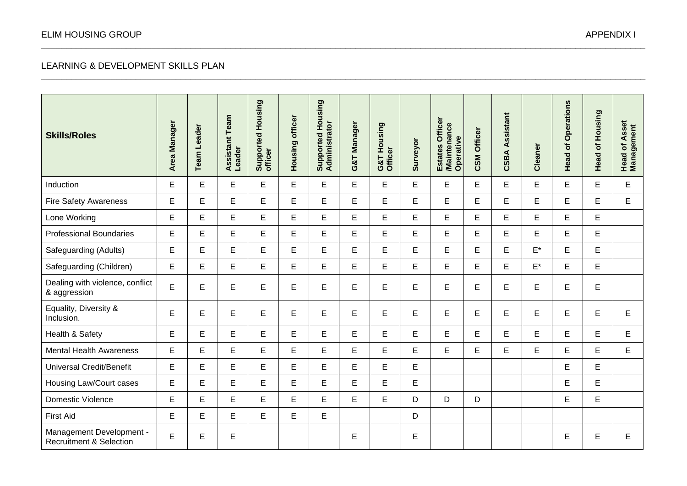# LEARNING & DEVELOPMENT SKILLS PLAN

| <b>Skills/Roles</b>                                            | Area Manager | <b>Team Leader</b> | Team<br><b>Assistant</b><br>Leader | Supported Housing<br>officer | Housing officer | Supported Housing<br>Administrator | <b>Manager</b><br>G&T | G&T Housing<br>Officer | Surveyor | Estates Officer<br>/Maintenance<br>Operative | <b>CSM Officer</b> | Assistant<br>CSBA | Cleaner            | Operations<br>Ⴆ<br><b>Head</b> | Housing<br>$\delta$<br>Head | <b>Head of Asset</b><br>Management |
|----------------------------------------------------------------|--------------|--------------------|------------------------------------|------------------------------|-----------------|------------------------------------|-----------------------|------------------------|----------|----------------------------------------------|--------------------|-------------------|--------------------|--------------------------------|-----------------------------|------------------------------------|
| Induction                                                      | E            | E.                 | E.                                 | E                            | E               | E                                  | E                     | E                      | E        | E                                            | E                  | E.                | E.                 | E                              | E                           | E                                  |
| <b>Fire Safety Awareness</b>                                   | $\mathsf E$  | E                  | E                                  | E                            | E               | E                                  | E                     | E                      | E        | E                                            | E                  | E                 | E                  | E                              | E                           | E                                  |
| Lone Working                                                   | E            | E                  | E                                  | E                            | E               | E                                  | E                     | E                      | E        | E                                            | E                  | E                 | E                  | E                              | E                           |                                    |
| <b>Professional Boundaries</b>                                 | E            | E                  | E                                  | Е                            | E               | E                                  | Е                     | E                      | E        | E                                            | E                  | E                 | E                  | E                              | E                           |                                    |
| Safeguarding (Adults)                                          | $\mathsf E$  | E                  | E                                  | E                            | E               | E                                  | E                     | E                      | E        | E                                            | E                  | E                 | $E^*$              | E                              | E                           |                                    |
| Safeguarding (Children)                                        | $\mathsf E$  | E                  | E                                  | E                            | E               | E                                  | E                     | E                      | E        | E                                            | E                  | E                 | $\mathsf{E}^\star$ | E                              | E                           |                                    |
| Dealing with violence, conflict<br>& aggression                | E            | E                  | E                                  | E                            | E               | E                                  | E                     | E                      | E        | E                                            | E                  | E                 | E                  | E                              | E                           |                                    |
| Equality, Diversity &<br>Inclusion.                            | $\mathsf E$  | E                  | E                                  | E                            | E               | E                                  | E                     | E                      | E        | E                                            | E                  | E                 | E                  | E                              | E                           | E                                  |
| Health & Safety                                                | E            | E                  | E                                  | E                            | E               | E                                  | E                     | E                      | E        | E                                            | E                  | E                 | E                  | E                              | E                           | E                                  |
| <b>Mental Health Awareness</b>                                 | $\mathsf E$  | E                  | E                                  | E                            | E               | E                                  | E                     | E                      | E        | E                                            | E                  | E                 | E                  | E                              | E                           | E                                  |
| <b>Universal Credit/Benefit</b>                                | E            | E                  | E                                  | E                            | E               | E                                  | E                     | E                      | E        |                                              |                    |                   |                    | E                              | E                           |                                    |
| Housing Law/Court cases                                        | E            | E                  | E                                  | E                            | E.              | E                                  | E.                    | E                      | E        |                                              |                    |                   |                    | E                              | E.                          |                                    |
| Domestic Violence                                              | E            | E                  | E                                  | E                            | E               | E                                  | E                     | E                      | D        | D                                            | D                  |                   |                    | E                              | E                           |                                    |
| <b>First Aid</b>                                               | E            | E                  | E                                  | E                            | E               | E                                  |                       |                        | D        |                                              |                    |                   |                    |                                |                             |                                    |
| Management Development -<br><b>Recruitment &amp; Selection</b> | E            | E                  | E                                  |                              |                 |                                    | E                     |                        | E        |                                              |                    |                   |                    | E                              | E                           | E                                  |

**\_\_\_\_\_\_\_\_\_\_\_\_\_\_\_\_\_\_\_\_\_\_\_\_\_\_\_\_\_\_\_\_\_\_\_\_\_\_\_\_\_\_\_\_\_\_\_\_\_\_\_\_\_\_\_\_\_\_\_\_\_\_\_\_\_\_\_\_\_\_\_\_\_\_\_\_\_\_\_\_\_\_\_\_\_\_\_\_\_\_\_\_\_\_\_\_\_\_\_\_\_\_\_\_\_\_\_\_\_\_\_\_\_\_\_\_\_\_\_\_\_**

**\_\_\_\_\_\_\_\_\_\_\_\_\_\_\_\_\_\_\_\_\_\_\_\_\_\_\_\_\_\_\_\_\_\_\_\_\_\_\_\_\_\_\_\_\_\_\_\_\_\_\_\_\_\_\_\_\_\_\_\_\_\_\_\_\_\_\_\_\_\_\_\_\_\_\_\_\_\_\_\_\_\_\_\_\_\_\_\_\_\_\_\_\_\_\_\_\_\_\_\_\_\_\_\_\_\_\_\_\_\_\_\_\_\_\_\_\_\_\_\_\_**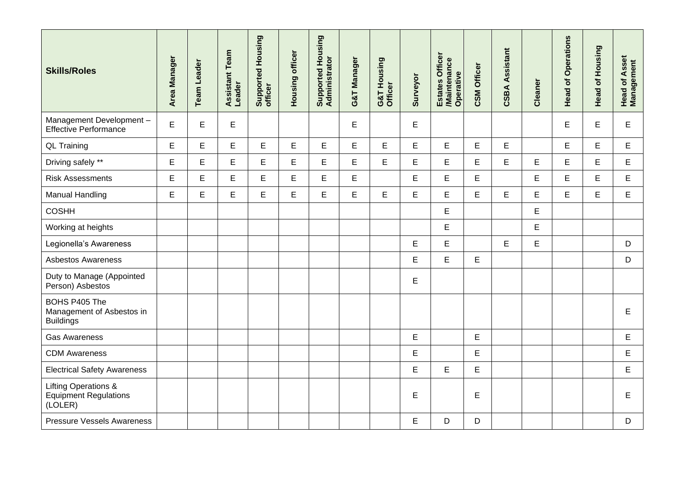| <b>Skills/Roles</b>                                                        | Area Manager | <b>Team Leader</b> | eam<br>۴<br><b>Assistant</b><br>Leader | Supported Housing<br>officer | Housing officer | Supported Housing<br>Administrator | G&T Manager | G&T Housing<br>Officer | Surveyor | Estates Officer<br>/Maintenance<br>Operative | <b>CSM Officer</b> | <b>CSBA Assistant</b> | Cleaner | <b>Head of Operations</b> | of Housing<br>Head | <b>Head of Asset</b><br>Management |
|----------------------------------------------------------------------------|--------------|--------------------|----------------------------------------|------------------------------|-----------------|------------------------------------|-------------|------------------------|----------|----------------------------------------------|--------------------|-----------------------|---------|---------------------------|--------------------|------------------------------------|
| Management Development-<br><b>Effective Performance</b>                    | $\mathsf E$  | E                  | E                                      |                              |                 |                                    | E           |                        | E        |                                              |                    |                       |         | E                         | E                  | E                                  |
| <b>QL Training</b>                                                         | $\mathsf E$  | E                  | E                                      | E                            | E               | E                                  | E           | E                      | E        | E                                            | E                  | $\mathsf E$           |         | E                         | E                  | E                                  |
| Driving safely **                                                          | $\mathsf E$  | E                  | E                                      | E                            | E               | E                                  | E           | $\mathsf E$            | E        | E                                            | E                  | E                     | E       | E                         | E                  | E                                  |
| <b>Risk Assessments</b>                                                    | E            | E                  | E                                      | E                            | E               | E                                  | E           |                        | E        | E                                            | E                  |                       | E       | E                         | E                  | E                                  |
| <b>Manual Handling</b>                                                     | E            | E                  | E                                      | E                            | E               | E                                  | E           | E                      | E        | E                                            | $\mathsf E$        | E                     | E       | E                         | E                  | E                                  |
| <b>COSHH</b>                                                               |              |                    |                                        |                              |                 |                                    |             |                        |          | E                                            |                    |                       | E       |                           |                    |                                    |
| Working at heights                                                         |              |                    |                                        |                              |                 |                                    |             |                        |          | E                                            |                    |                       | E       |                           |                    |                                    |
| Legionella's Awareness                                                     |              |                    |                                        |                              |                 |                                    |             |                        | E        | E                                            |                    | $\mathsf E$           | E       |                           |                    | $\mathsf D$                        |
| <b>Asbestos Awareness</b>                                                  |              |                    |                                        |                              |                 |                                    |             |                        | E        | E                                            | $\mathsf E$        |                       |         |                           |                    | D                                  |
| Duty to Manage (Appointed<br>Person) Asbestos                              |              |                    |                                        |                              |                 |                                    |             |                        | E        |                                              |                    |                       |         |                           |                    |                                    |
| BOHS P405 The<br>Management of Asbestos in<br><b>Buildings</b>             |              |                    |                                        |                              |                 |                                    |             |                        |          |                                              |                    |                       |         |                           |                    | E                                  |
| <b>Gas Awareness</b>                                                       |              |                    |                                        |                              |                 |                                    |             |                        | E        |                                              | E                  |                       |         |                           |                    | E                                  |
| <b>CDM Awareness</b>                                                       |              |                    |                                        |                              |                 |                                    |             |                        | E        |                                              | E                  |                       |         |                           |                    | E                                  |
| <b>Electrical Safety Awareness</b>                                         |              |                    |                                        |                              |                 |                                    |             |                        | E        | E                                            | E                  |                       |         |                           |                    | E                                  |
| <b>Lifting Operations &amp;</b><br><b>Equipment Regulations</b><br>(LOLER) |              |                    |                                        |                              |                 |                                    |             |                        | E        |                                              | E                  |                       |         |                           |                    | E                                  |
| <b>Pressure Vessels Awareness</b>                                          |              |                    |                                        |                              |                 |                                    |             |                        | E        | D                                            | D                  |                       |         |                           |                    | D                                  |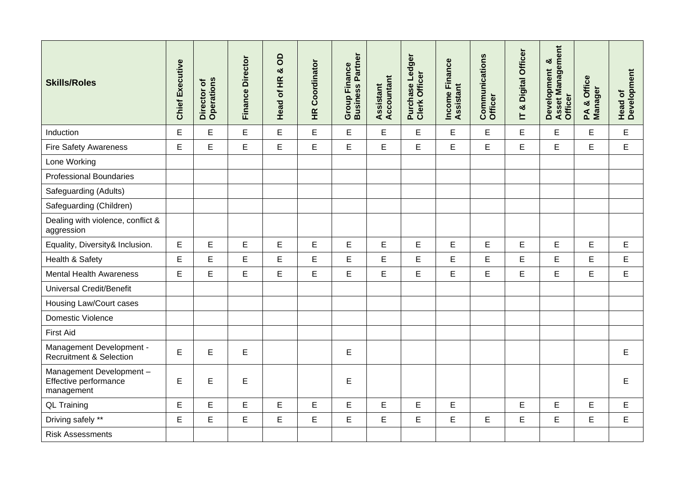| <b>Skills/Roles</b>                                            | <b>Chief Executive</b> | Director of<br>Operations | <b>Finance Director</b> | <b>a</b><br>Head of HR & | <b>HR Coordinator</b> | Partner<br><b>Group Finance</b><br><b>Business</b> | Assistant<br>Accountant | Purchase Ledger<br>Clerk Officer | Income Finance<br><b>Assistant</b> | Communications<br>Officer | Digital Officer<br>lT & | Asset Management<br>ఱ<br><b>Development</b><br>Officer | & Office<br>Manager<br>$\mathbf{A}$ | Head of<br>Development |
|----------------------------------------------------------------|------------------------|---------------------------|-------------------------|--------------------------|-----------------------|----------------------------------------------------|-------------------------|----------------------------------|------------------------------------|---------------------------|-------------------------|--------------------------------------------------------|-------------------------------------|------------------------|
| Induction                                                      | $\mathsf E$            | E                         | E                       | E                        | E                     | E                                                  | E                       | $\mathsf E$                      | $\mathsf E$                        | E                         | E                       | E                                                      | E                                   | $\mathsf E$            |
| <b>Fire Safety Awareness</b>                                   | E                      | E                         | E                       | E                        | E                     | E                                                  | E                       | E                                | E                                  | E                         | E                       | E                                                      | E                                   | $\mathsf E$            |
| Lone Working                                                   |                        |                           |                         |                          |                       |                                                    |                         |                                  |                                    |                           |                         |                                                        |                                     |                        |
| <b>Professional Boundaries</b>                                 |                        |                           |                         |                          |                       |                                                    |                         |                                  |                                    |                           |                         |                                                        |                                     |                        |
| Safeguarding (Adults)                                          |                        |                           |                         |                          |                       |                                                    |                         |                                  |                                    |                           |                         |                                                        |                                     |                        |
| Safeguarding (Children)                                        |                        |                           |                         |                          |                       |                                                    |                         |                                  |                                    |                           |                         |                                                        |                                     |                        |
| Dealing with violence, conflict &<br>aggression                |                        |                           |                         |                          |                       |                                                    |                         |                                  |                                    |                           |                         |                                                        |                                     |                        |
| Equality, Diversity& Inclusion.                                | $\mathsf E$            | E                         | E                       | E                        | E                     | E                                                  | Е                       | E                                | E                                  | E                         | E                       | E                                                      | E                                   | Е                      |
| Health & Safety                                                | $\mathsf E$            | E                         | E                       | E                        | E                     | E                                                  | E                       | E                                | E                                  | E                         | E                       | E                                                      | E                                   | E                      |
| <b>Mental Health Awareness</b>                                 | $\mathsf E$            | E                         | E                       | E                        | E                     | E                                                  | E                       | E                                | E                                  | E                         | E                       | E                                                      | E                                   | E                      |
| <b>Universal Credit/Benefit</b>                                |                        |                           |                         |                          |                       |                                                    |                         |                                  |                                    |                           |                         |                                                        |                                     |                        |
| Housing Law/Court cases                                        |                        |                           |                         |                          |                       |                                                    |                         |                                  |                                    |                           |                         |                                                        |                                     |                        |
| <b>Domestic Violence</b>                                       |                        |                           |                         |                          |                       |                                                    |                         |                                  |                                    |                           |                         |                                                        |                                     |                        |
| <b>First Aid</b>                                               |                        |                           |                         |                          |                       |                                                    |                         |                                  |                                    |                           |                         |                                                        |                                     |                        |
| Management Development -<br><b>Recruitment &amp; Selection</b> | $\mathsf E$            | E                         | E                       |                          |                       | E                                                  |                         |                                  |                                    |                           |                         |                                                        |                                     | E                      |
| Management Development-<br>Effective performance<br>management | $\mathsf E$            | E                         | E                       |                          |                       | E                                                  |                         |                                  |                                    |                           |                         |                                                        |                                     | E                      |
| <b>QL Training</b>                                             | $\mathsf E$            | E                         | E                       | E                        | E                     | E                                                  | E                       | E                                | E                                  |                           | E                       | E                                                      | E                                   | E                      |
| Driving safely **                                              | $\mathsf E$            | E                         | E                       | E                        | E                     | E                                                  | E                       | Е                                | E                                  | E                         | E                       | E                                                      | E                                   | E                      |
| <b>Risk Assessments</b>                                        |                        |                           |                         |                          |                       |                                                    |                         |                                  |                                    |                           |                         |                                                        |                                     |                        |